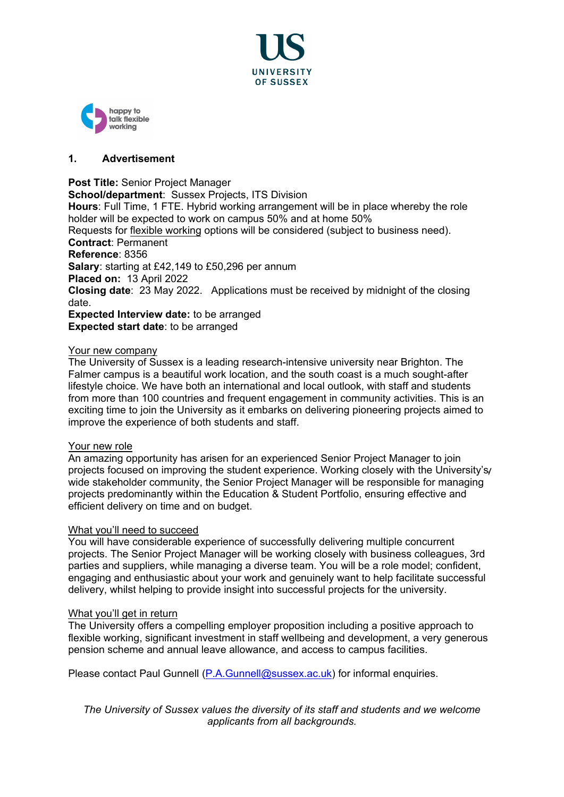



# **1. Advertisement**

# **Post Title:** Senior Project Manager

**School/department: Sussex Projects, ITS Division Hours**: Full Time, 1 FTE. Hybrid working arrangement will be in place whereby the role holder will be expected to work on campus 50% and at home 50% Requests for [flexible working](http://www.sussex.ac.uk/humanresources/personnel/flexible-working) options will be considered (subject to business need). **Contract**: Permanent **Reference**: 8356 **Salary**: starting at £42,149 to £50,296 per annum **Placed on:** 13 April 2022 **Closing date**: 23 May 2022. Applications must be received by midnight of the closing date. **Expected Interview date:** to be arranged **Expected start date**: to be arranged

# Your new company

The University of Sussex is a leading research-intensive university near Brighton. The Falmer campus is a beautiful work location, and the south coast is a much sought-after lifestyle choice. We have both an international and local outlook, with staff and students from more than 100 countries and frequent engagement in community activities. This is an exciting time to join the University as it embarks on delivering pioneering projects aimed to improve the experience of both students and staff.

### Your new role

An amazing opportunity has arisen for an experienced Senior Project Manager to join projects focused on improving the student experience. Working closely with the University's  $\mu$ wide stakeholder community, the Senior Project Manager will be responsible for managing projects predominantly within the Education & Student Portfolio, ensuring effective and efficient delivery on time and on budget.

### What you'll need to succeed

You will have considerable experience of successfully delivering multiple concurrent projects. The Senior Project Manager will be working closely with business colleagues, 3rd parties and suppliers, while managing a diverse team. You will be a role model; confident, engaging and enthusiastic about your work and genuinely want to help facilitate successful delivery, whilst helping to provide insight into successful projects for the university.

# What you'll get in return

The University offers a compelling employer proposition including a positive approach to flexible working, significant investment in staff wellbeing and development, a very generous pension scheme and annual leave allowance, and access to campus facilities.

Please contact Paul Gunnell [\(P.A.Gunnell@sussex.ac.uk\)](mailto:P.A.Gunnell@sussex.ac.uk) for informal enquiries.

*The University of Sussex values the diversity of its staff and students and we welcome applicants from all backgrounds.*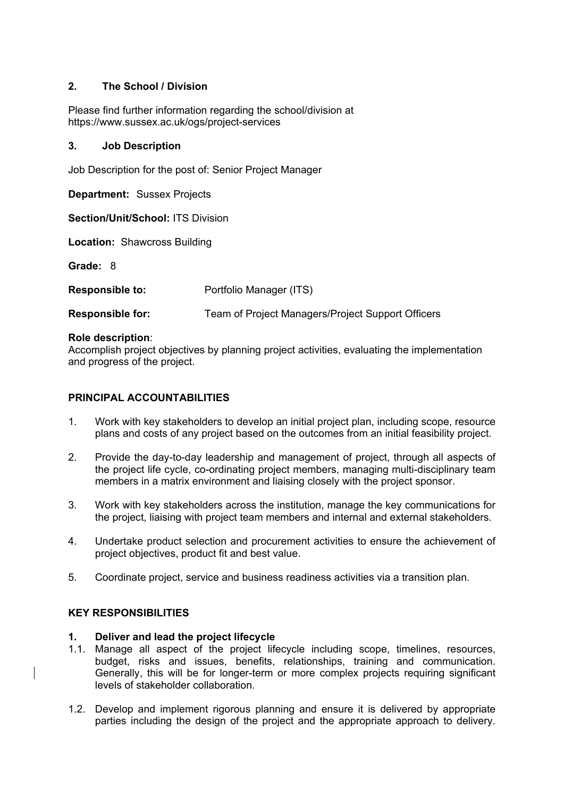# **2. The School / Division**

Please find further information regarding the school/division at https://www.sussex.ac.uk/ogs/project-services

## **3. Job Description**

Job Description for the post of: Senior Project Manager

**Department:** Sussex Projects

**Section/Unit/School:** ITS Division

**Location:** Shawcross Building

**Grade:** 8

| <b>Responsible to:</b> | Portfolio Manager (ITS) |
|------------------------|-------------------------|
|------------------------|-------------------------|

**Responsible for:** Team of Project Managers/Project Support Officers

### **Role description**:

Accomplish project objectives by planning project activities, evaluating the implementation and progress of the project.

## **PRINCIPAL ACCOUNTABILITIES**

- 1. Work with key stakeholders to develop an initial project plan, including scope, resource plans and costs of any project based on the outcomes from an initial feasibility project.
- 2. Provide the day-to-day leadership and management of project, through all aspects of the project life cycle, co-ordinating project members, managing multi-disciplinary team members in a matrix environment and liaising closely with the project sponsor.
- 3. Work with key stakeholders across the institution, manage the key communications for the project, liaising with project team members and internal and external stakeholders.
- 4. Undertake product selection and procurement activities to ensure the achievement of project objectives, product fit and best value.
- 5. Coordinate project, service and business readiness activities via a transition plan.

### **KEY RESPONSIBILITIES**

### **1. Deliver and lead the project lifecycle**

- 1.1. Manage all aspect of the project lifecycle including scope, timelines, resources, budget, risks and issues, benefits, relationships, training and communication. Generally, this will be for longer-term or more complex projects requiring significant levels of stakeholder collaboration.
- 1.2. Develop and implement rigorous planning and ensure it is delivered by appropriate parties including the design of the project and the appropriate approach to delivery.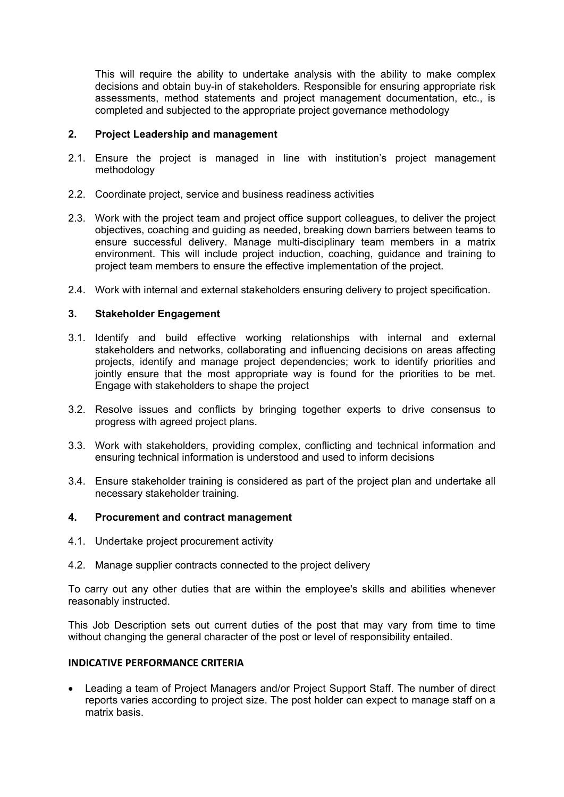This will require the ability to undertake analysis with the ability to make complex decisions and obtain buy-in of stakeholders. Responsible for ensuring appropriate risk assessments, method statements and project management documentation, etc., is completed and subjected to the appropriate project governance methodology

# **2. Project Leadership and management**

- 2.1. Ensure the project is managed in line with institution's project management methodology
- 2.2. Coordinate project, service and business readiness activities
- 2.3. Work with the project team and project office support colleagues, to deliver the project objectives, coaching and guiding as needed, breaking down barriers between teams to ensure successful delivery. Manage multi-disciplinary team members in a matrix environment. This will include project induction, coaching, guidance and training to project team members to ensure the effective implementation of the project.
- 2.4. Work with internal and external stakeholders ensuring delivery to project specification.

# **3. Stakeholder Engagement**

- 3.1. Identify and build effective working relationships with internal and external stakeholders and networks, collaborating and influencing decisions on areas affecting projects, identify and manage project dependencies; work to identify priorities and jointly ensure that the most appropriate way is found for the priorities to be met. Engage with stakeholders to shape the project
- 3.2. Resolve issues and conflicts by bringing together experts to drive consensus to progress with agreed project plans.
- 3.3. Work with stakeholders, providing complex, conflicting and technical information and ensuring technical information is understood and used to inform decisions
- 3.4. Ensure stakeholder training is considered as part of the project plan and undertake all necessary stakeholder training.

# **4. Procurement and contract management**

- 4.1. Undertake project procurement activity
- 4.2. Manage supplier contracts connected to the project delivery

To carry out any other duties that are within the employee's skills and abilities whenever reasonably instructed.

This Job Description sets out current duties of the post that may vary from time to time without changing the general character of the post or level of responsibility entailed.

# **INDICATIVE PERFORMANCE CRITERIA**

• Leading a team of Project Managers and/or Project Support Staff. The number of direct reports varies according to project size. The post holder can expect to manage staff on a matrix basis.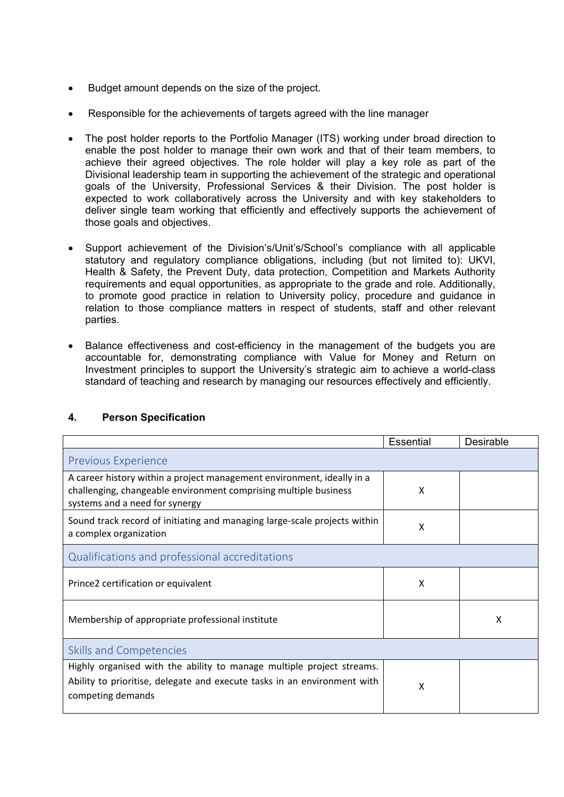- Budget amount depends on the size of the project.
- Responsible for the achievements of targets agreed with the line manager
- The post holder reports to the Portfolio Manager (ITS) working under broad direction to enable the post holder to manage their own work and that of their team members, to achieve their agreed objectives. The role holder will play a key role as part of the Divisional leadership team in supporting the achievement of the strategic and operational goals of the University, Professional Services & their Division. The post holder is expected to work collaboratively across the University and with key stakeholders to deliver single team working that efficiently and effectively supports the achievement of those goals and objectives.
- Support achievement of the Division's/Unit's/School's compliance with all applicable statutory and regulatory compliance obligations, including (but not limited to): UKVI, Health & Safety, the Prevent Duty, data protection, Competition and Markets Authority requirements and equal opportunities, as appropriate to the grade and role. Additionally, to promote good practice in relation to University policy, procedure and guidance in relation to those compliance matters in respect of students, staff and other relevant parties.
- Balance effectiveness and cost-efficiency in the management of the budgets you are accountable for, demonstrating compliance with Value for Money and Return on Investment principles to support the University's strategic aim to achieve a world-class standard of teaching and research by managing our resources effectively and efficiently.

|                                                                                                                                                                              | <b>Essential</b> | Desirable |  |
|------------------------------------------------------------------------------------------------------------------------------------------------------------------------------|------------------|-----------|--|
| <b>Previous Experience</b>                                                                                                                                                   |                  |           |  |
| A career history within a project management environment, ideally in a<br>challenging, changeable environment comprising multiple business<br>systems and a need for synergy | X                |           |  |
| Sound track record of initiating and managing large-scale projects within<br>a complex organization                                                                          | X                |           |  |
| Qualifications and professional accreditations                                                                                                                               |                  |           |  |
| Prince2 certification or equivalent                                                                                                                                          | Χ                |           |  |
| Membership of appropriate professional institute                                                                                                                             |                  | x         |  |
| <b>Skills and Competencies</b>                                                                                                                                               |                  |           |  |
| Highly organised with the ability to manage multiple project streams.<br>Ability to prioritise, delegate and execute tasks in an environment with<br>competing demands       | X                |           |  |

# **4. Person Specification**